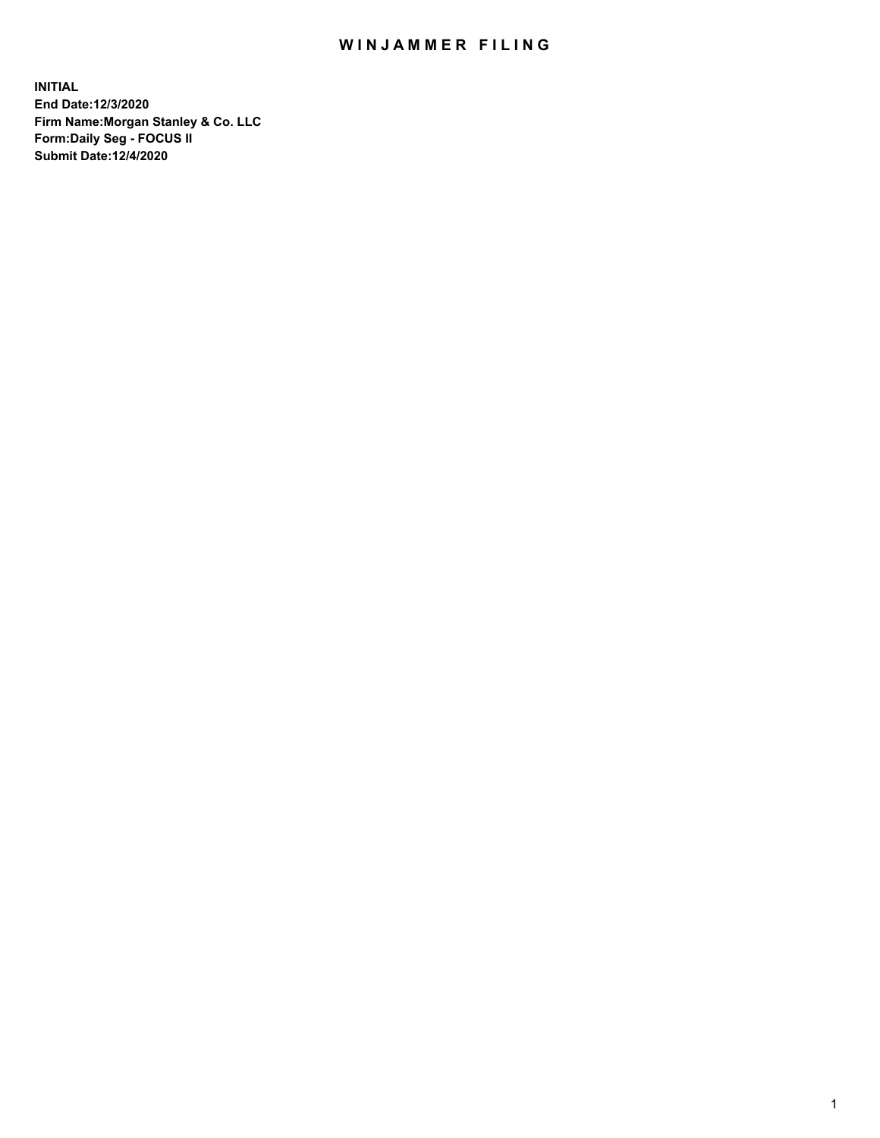## WIN JAMMER FILING

**INITIAL End Date:12/3/2020 Firm Name:Morgan Stanley & Co. LLC Form:Daily Seg - FOCUS II Submit Date:12/4/2020**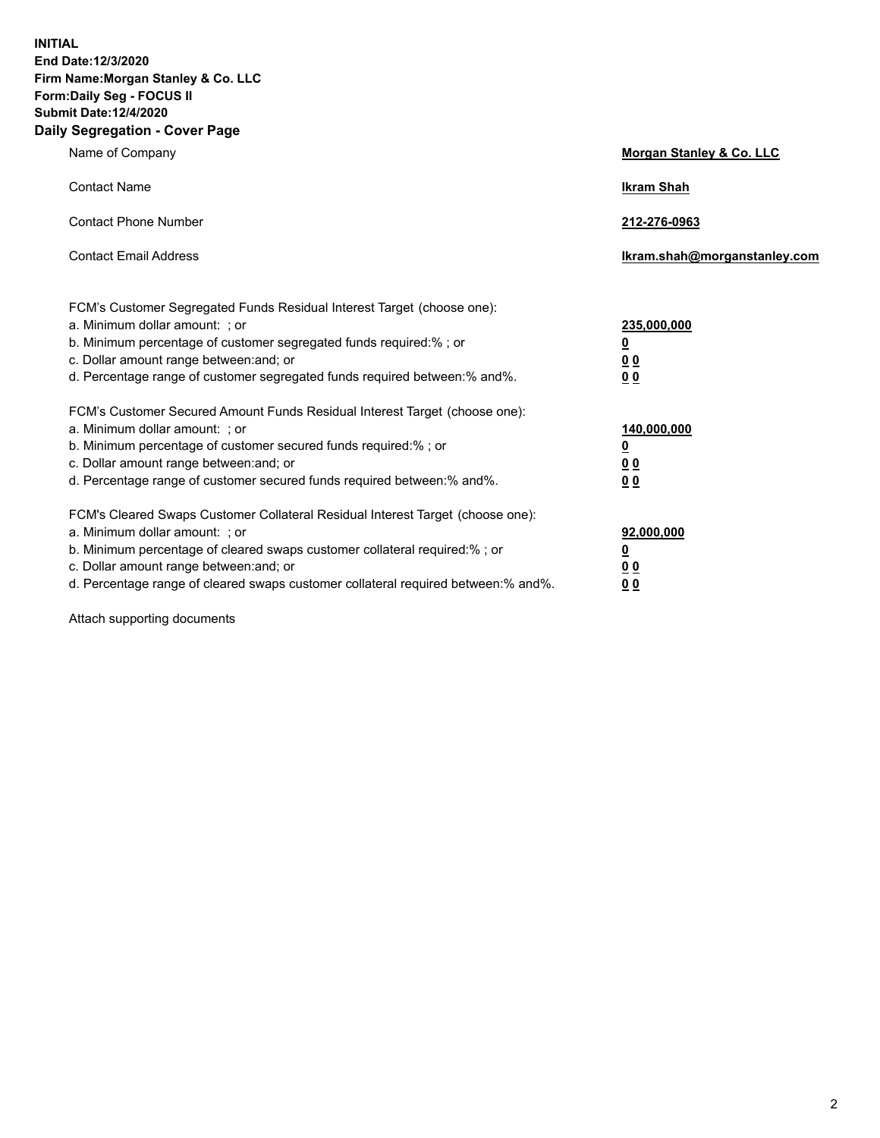**INITIAL End Date:12/3/2020 Firm Name:Morgan Stanley & Co. LLC Form:Daily Seg - FOCUS II Submit Date:12/4/2020 Daily Segregation - Cover Page**

| Name of Company                                                                                                                                                                                                                                                                                                                | Morgan Stanley & Co. LLC                                |
|--------------------------------------------------------------------------------------------------------------------------------------------------------------------------------------------------------------------------------------------------------------------------------------------------------------------------------|---------------------------------------------------------|
| <b>Contact Name</b>                                                                                                                                                                                                                                                                                                            | <b>Ikram Shah</b>                                       |
| <b>Contact Phone Number</b>                                                                                                                                                                                                                                                                                                    | 212-276-0963                                            |
| <b>Contact Email Address</b>                                                                                                                                                                                                                                                                                                   | Ikram.shah@morganstanley.com                            |
| FCM's Customer Segregated Funds Residual Interest Target (choose one):<br>a. Minimum dollar amount: ; or<br>b. Minimum percentage of customer segregated funds required:% ; or<br>c. Dollar amount range between: and; or<br>d. Percentage range of customer segregated funds required between:% and%.                         | 235,000,000<br><u>0</u><br><u>00</u><br><u>00</u>       |
| FCM's Customer Secured Amount Funds Residual Interest Target (choose one):<br>a. Minimum dollar amount: ; or<br>b. Minimum percentage of customer secured funds required:%; or<br>c. Dollar amount range between: and; or<br>d. Percentage range of customer secured funds required between:% and%.                            | 140,000,000<br><u>0</u><br><u>0 0</u><br>0 <sub>0</sub> |
| FCM's Cleared Swaps Customer Collateral Residual Interest Target (choose one):<br>a. Minimum dollar amount: ; or<br>b. Minimum percentage of cleared swaps customer collateral required:% ; or<br>c. Dollar amount range between: and; or<br>d. Percentage range of cleared swaps customer collateral required between:% and%. | 92,000,000<br><u>0</u><br><u>00</u><br>00               |

Attach supporting documents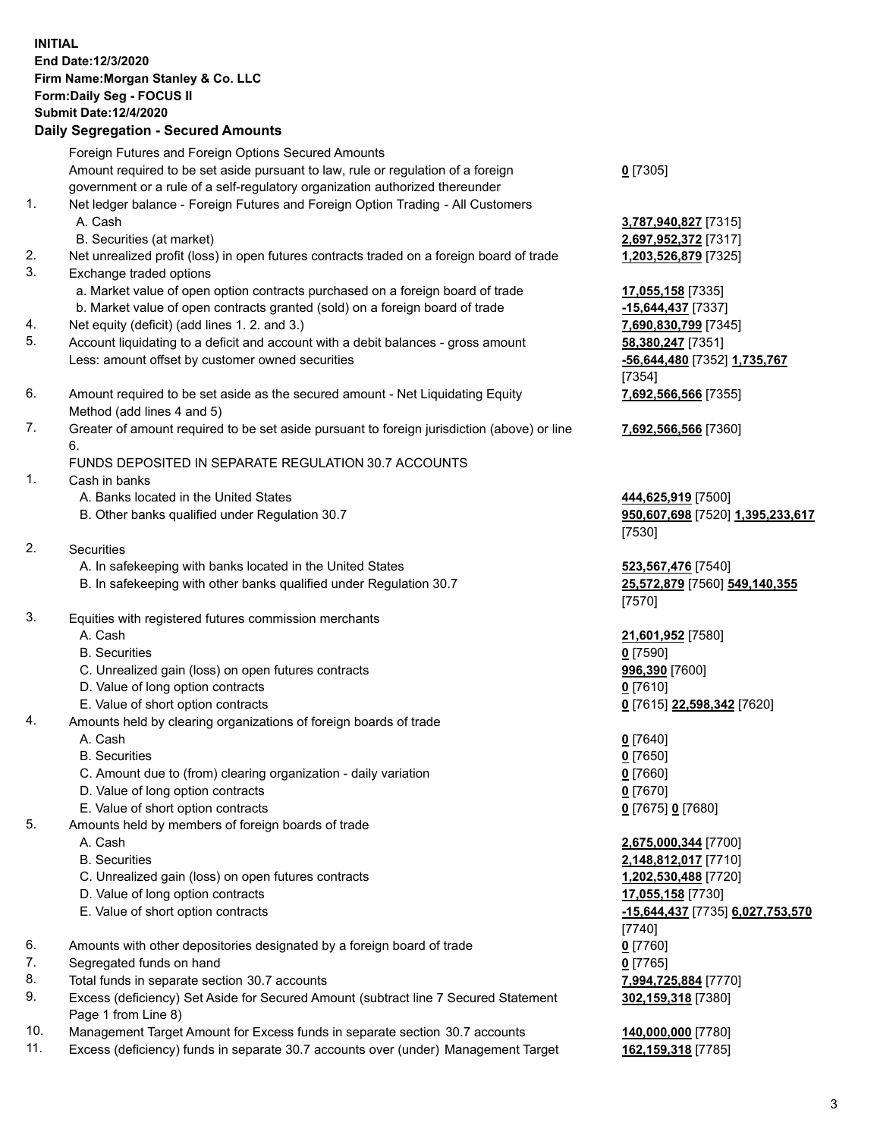## **INITIAL End Date:12/3/2020 Firm Name:Morgan Stanley & Co. LLC Form:Daily Seg - FOCUS II Submit Date:12/4/2020 Daily Segregation - Secured Amounts** Foreign Futures and Foreign Options Secured Amounts Amount required to be set aside pursuant to law, rule or regulation of a foreign

- government or a rule of a self-regulatory organization authorized thereunder 1. Net ledger balance - Foreign Futures and Foreign Option Trading - All Customers A. Cash **3,787,940,827** [7315] B. Securities (at market) **2,697,952,372** [7317] 2. Net unrealized profit (loss) in open futures contracts traded on a foreign board of trade **1,203,526,879** [7325] 3. Exchange traded options a. Market value of open option contracts purchased on a foreign board of trade **17,055,158** [7335] b. Market value of open contracts granted (sold) on a foreign board of trade **-15,644,437** [7337] 4. Net equity (deficit) (add lines 1. 2. and 3.) **7,690,830,799** [7345] 5. Account liquidating to a deficit and account with a debit balances - gross amount **58,380,247** [7351] Less: amount offset by customer owned securities **-56,644,480** [7352] **1,735,767** 6. Amount required to be set aside as the secured amount - Net Liquidating Equity Method (add lines 4 and 5) 7. Greater of amount required to be set aside pursuant to foreign jurisdiction (above) or line 6. FUNDS DEPOSITED IN SEPARATE REGULATION 30.7 ACCOUNTS 1. Cash in banks A. Banks located in the United States **444,625,919** [7500] B. Other banks qualified under Regulation 30.7 **950,607,698** [7520] **1,395,233,617** 2. Securities A. In safekeeping with banks located in the United States **523,567,476** [7540]
	- B. In safekeeping with other banks qualified under Regulation 30.7 **25,572,879** [7560] **549,140,355**
- 3. Equities with registered futures commission merchants
	-
	- B. Securities **0** [7590]
	- C. Unrealized gain (loss) on open futures contracts **996,390** [7600]
	- D. Value of long option contracts **0** [7610]
	- E. Value of short option contracts **0** [7615] **22,598,342** [7620]
- 4. Amounts held by clearing organizations of foreign boards of trade
	-
	- B. Securities **0** [7650]
	- C. Amount due to (from) clearing organization daily variation **0** [7660]
	- D. Value of long option contracts **0** [7670]
	- E. Value of short option contracts **0** [7675] **0** [7680]
- 5. Amounts held by members of foreign boards of trade
	-
	-
	- C. Unrealized gain (loss) on open futures contracts **1,202,530,488** [7720]
	- D. Value of long option contracts **17,055,158** [7730]
	-
- 6. Amounts with other depositories designated by a foreign board of trade **0** [7760]
- 7. Segregated funds on hand **0** [7765]
- 8. Total funds in separate section 30.7 accounts **7,994,725,884** [7770]
- 9. Excess (deficiency) Set Aside for Secured Amount (subtract line 7 Secured Statement Page 1 from Line 8)
- 10. Management Target Amount for Excess funds in separate section 30.7 accounts **140,000,000** [7780]
- 11. Excess (deficiency) funds in separate 30.7 accounts over (under) Management Target **162,159,318** [7785]

**0** [7305]

[7354] **7,692,566,566** [7355]

**7,692,566,566** [7360]

[7530]

[7570]

A. Cash **21,601,952** [7580]

A. Cash **0** [7640]

 A. Cash **2,675,000,344** [7700] B. Securities **2,148,812,017** [7710] E. Value of short option contracts **-15,644,437** [7735] **6,027,753,570** [7740] **302,159,318** [7380]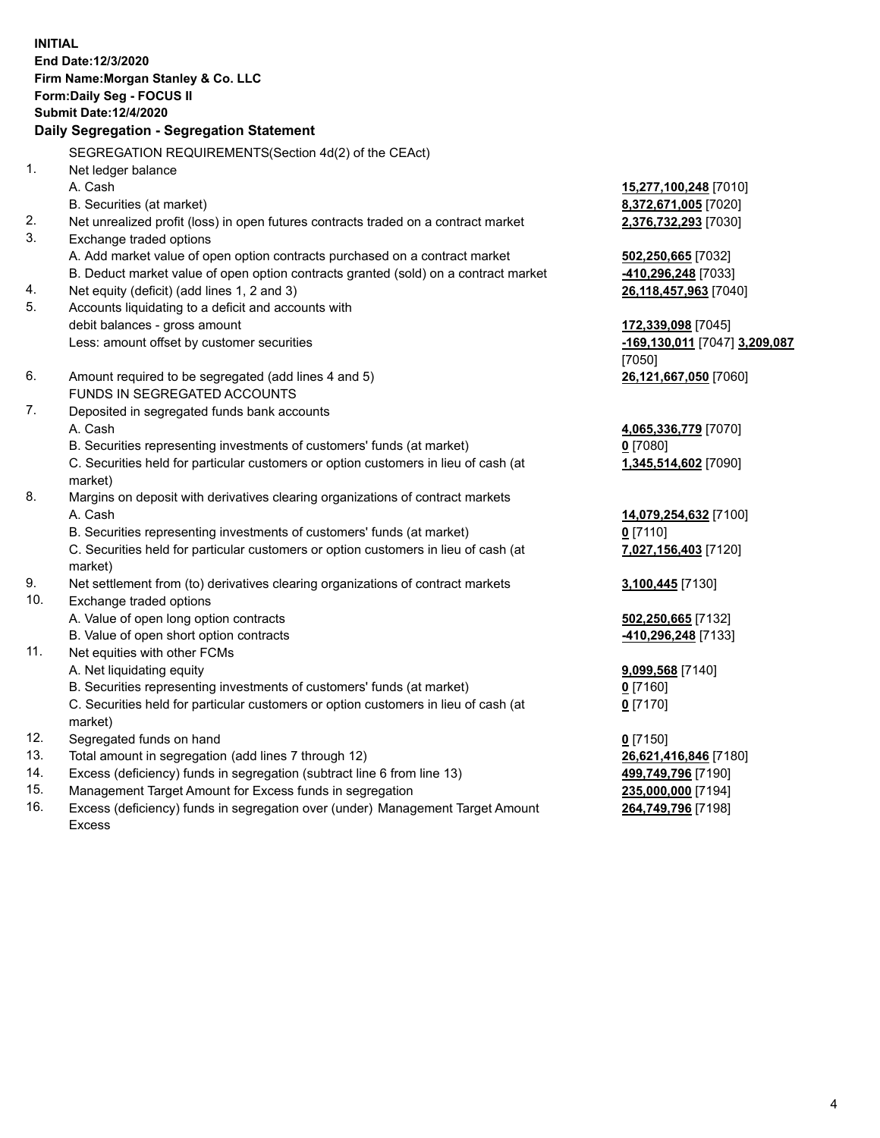**INITIAL End Date:12/3/2020 Firm Name:Morgan Stanley & Co. LLC Form:Daily Seg - FOCUS II Submit Date:12/4/2020 Daily Segregation - Segregation Statement** SEGREGATION REQUIREMENTS(Section 4d(2) of the CEAct) 1. Net ledger balance A. Cash **15,277,100,248** [7010] B. Securities (at market) **8,372,671,005** [7020] 2. Net unrealized profit (loss) in open futures contracts traded on a contract market **2,376,732,293** [7030] 3. Exchange traded options A. Add market value of open option contracts purchased on a contract market **502,250,665** [7032] B. Deduct market value of open option contracts granted (sold) on a contract market **-410,296,248** [7033] 4. Net equity (deficit) (add lines 1, 2 and 3) **26,118,457,963** [7040] 5. Accounts liquidating to a deficit and accounts with debit balances - gross amount **172,339,098** [7045] Less: amount offset by customer securities **-169,130,011** [7047] **3,209,087** [7050] 6. Amount required to be segregated (add lines 4 and 5) **26,121,667,050** [7060] FUNDS IN SEGREGATED ACCOUNTS 7. Deposited in segregated funds bank accounts A. Cash **4,065,336,779** [7070] B. Securities representing investments of customers' funds (at market) **0** [7080] C. Securities held for particular customers or option customers in lieu of cash (at market) **1,345,514,602** [7090] 8. Margins on deposit with derivatives clearing organizations of contract markets A. Cash **14,079,254,632** [7100] B. Securities representing investments of customers' funds (at market) **0** [7110] C. Securities held for particular customers or option customers in lieu of cash (at market) **7,027,156,403** [7120] 9. Net settlement from (to) derivatives clearing organizations of contract markets **3,100,445** [7130] 10. Exchange traded options A. Value of open long option contracts **502,250,665** [7132] B. Value of open short option contracts **-410,296,248** [7133] 11. Net equities with other FCMs A. Net liquidating equity **9,099,568** [7140] B. Securities representing investments of customers' funds (at market) **0** [7160] C. Securities held for particular customers or option customers in lieu of cash (at market) **0** [7170] 12. Segregated funds on hand **0** [7150] 13. Total amount in segregation (add lines 7 through 12) **26,621,416,846** [7180] 14. Excess (deficiency) funds in segregation (subtract line 6 from line 13) **499,749,796** [7190]

- 15. Management Target Amount for Excess funds in segregation **235,000,000** [7194]
- 16. Excess (deficiency) funds in segregation over (under) Management Target Amount Excess

**264,749,796** [7198]